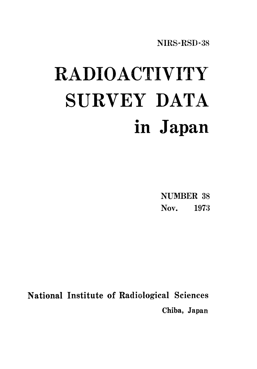NIRS-RSD-38

# RADIOACTIVITY SURVEY DATA in Japan

**NUMBER 38** Nov. 1973

National Institute of Radiological Sciences Chiba, Japan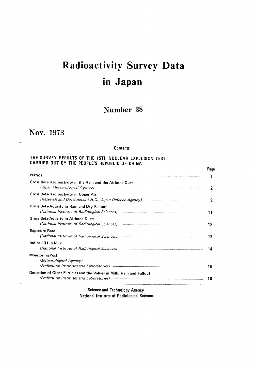# **Radioactivity Survey Data** in Japan

### Number 38

## Nov. 1973

#### **Contents**

#### THE SURVEY RESULTS OF THE 15TH NUCLEAR EXPLOSION TEST CARRIED OUT BY THE PEOPLE'S REPUBLIC OF CHINA

|                                                                                                                | Page |
|----------------------------------------------------------------------------------------------------------------|------|
| <b>Preface</b>                                                                                                 |      |
| Gross Beta-Radioactivity in the Rain and the Airbone Dust                                                      |      |
| Gross Beta-Radioactivity in Upper Air                                                                          | я    |
| Gross Beta-Activity in Rain and Dry Fallout<br>(National Institute of Radiological Sciences)                   | 11   |
| Gross Beta-Activity in Airbone Dusts<br>(National Institute of Radiological Sciences)                          | 12   |
| <b>Exposure Rate</b><br>(National Institute of Radiological Sciences)                                          | 13   |
| lodine-131 in Milk<br>(National Institute of Radiological Sciences)                                            | 14   |
| <b>Monitoring Post</b><br>(Meteorological Agency)                                                              |      |
| (Prefectural Institutes and Laboratories) manufactured and contain an interest of the control of the control o | 16   |
| Detection of Giant Particles and the Values in Milk, Rain and Fallout                                          |      |
| (Prefectural Institutes and Laboratories)                                                                      | 18   |

**Science and Technology Agency** National Institute of Radiological Sciences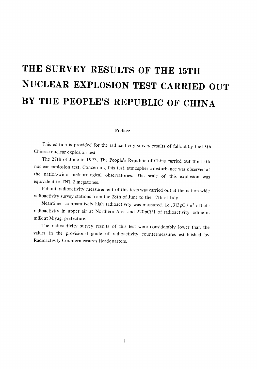# THE SURVEY RESULTS OF THE 15TH NUCLEAR EXPLOSION TEST CARRIED OUT BY THE PEOPLE'S REPUBLIC OF CHINA

#### Preface

This edition is provided for the radioactivity survey results of fallout by the 15th Chinese nuclear explosion test.

The 27th of June in 1973, The People's Republic of China carried out the 15th nuclear explosion test. Concerning this test, atmospheric disturbance was observed at the nation-wide meteorological observatories. The scale of this explosion was equivalent to TNT 2 megatones.

Fallout radioactivity measurement of this tests was carried out at the nation-wide radioactivity survey stations from the 28th of June to the 17th of July.

Meantime, comparatively high radioactivity was measured, i.e., 313pCi/m<sup>3</sup> of beta radioactivity in upper air at Northern Area and 220pCi/1 of radioactivity iodine in milk at Miyagi prefecture.

The radioactivity survey results of this test were considerably lower than the values in the provisional guide of radioactivity countermeasures established by Radioactivity Countermeasures Headquarters.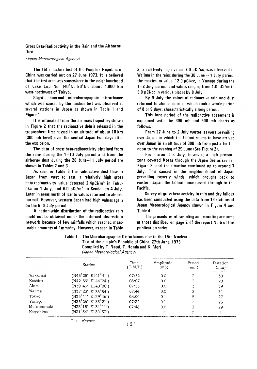#### Gross Beta-Radioactivity in the Rain and the Airborne **Dust**

#### (Japan Meteorological Agency)

The 15th nuclear test of the People's Republic of China was carried out on 27 June 1973. It is believed that the test area was somewhere in the neighbourhood of Lake Lop Nor  $(40^{\circ}N, 90^{\circ}E)$ , about 4,000 km west-northwest of Tokyo.

Slight abnormal microbarographic disturbance which was caused by the nuclear test was observed at several stations in Japan as shown in Table 1 and Figure 1.

It is estimated from the air mass trajectory shown in Figure 2 that the radioactive debris released in the troposphere first passed in an altitude of about 10 km (300 mb level) over the central Japan two days after the explosion.

The data of gross beta-radioactivity obtained from the rains during the  $1-10$  July period and from the airborne dust during the 28 June-11 July period are shown in Tables 2 and 3.

As seen in Table 3 the radioactive dust flew in Japan from west to east, a relatively high gross beta-radioactivity value detected 2.4pCi/m<sup>3</sup> in Fukuoka on 1 July, and 6.0  $pCi/m^3$  in Sendai on 4 July. Later in areas north of Kanto values returned to almost normal. However, western Japan had high values again on the 6-8 July period.

A nation-wide distribution of the radioactive rain could not be obtained under the enforced observation network because of few rainfalls which reached measurable amounts of 1mm/day. However, as seen in Table

2, a relatively high value, 7.0 pCi/cc, was observed in Waiima in the rains during the 30 June -- 1 July period. the maximum value, 12.0 pCi/cc, in Yonago during the  $1-2$  July period, and values ranging from 1.0 pCi/cc to 5.0 pCi/cc in various places by 8 July.

By 9 July the values of radioactive rain and dust returned to almost normal, which took a whole period of 8 or 9 days, characteristically a long period.

This long period of the radioactive abatement is explained with the 300 mb and 500 mb charts as follows.

From 27 June to 2 July westerlies were prevailing over Japan in which the fallout seems to have arrived over Japan in an altitude of 300 mb from just after the noon to the evening of 29 June (See Figure 2).

From around 3 July, however, a high pressure zone covered Korea through the Japan Sea as seen in Figure 3, and the situation continued up to around 7 July. This caused in the neighbourhood of Japan prevailing easterly winds, which brought back to western Japan the fallout once passed through to the Pacific.

Survey of gross beta-activity in rain and dry fallout has been conducted using the data from 13 stations of Japan Meteorological Agency shown in Figure 4 and Table 4.

The procedures of sampling and counting are same as those discribed on page 2 of the report No.5 of this publication series.

#### Table 1. The Microbarographic Disturbances due to the 15th Nuclear Test of the people's Republic of China, 27th June, 1973 Compiled by T. Nagai, T. Honda and K. Mori (Japan Meteorological Agency)

|              | Station                                     | Time<br>(G.M.T.) | Amplitude<br>(mb) | Period<br>(min) | Duration<br>(min) |
|--------------|---------------------------------------------|------------------|-------------------|-----------------|-------------------|
| Wakkanai     | $(N45^{\circ}25'$ E141 <sup>°</sup> 41′)    | 07:52            | 0 <sub>0</sub>    |                 | 30                |
| Kushiro      | $(N42°59′$ E144°24′)                        | 08:07            | 0 <sub>0</sub>    |                 | 20                |
| Akita        | $($ N39 $^{\circ}$ 43' E140 $^{\circ}$ 06') | 07:55            | 0.0               |                 | 39                |
| Wajima       | $(N37^{\circ}23'$ E136°54')                 | 07:44            | 0.0               |                 | 34                |
| Tokyo        | $($ N35 $^{\circ}$ 41' E139 $^{\circ}$ 46') | 08:00            | 0 <sub>1</sub>    |                 | 27                |
| Yonago       | $($ N35 $^{\circ}$ 26' E133 $^{\circ}$ 21') | 07:32            | 0.1               |                 | 25                |
| Murotomisaki | $(N33^{\circ}15'$ E134 $^{\circ}11')$       | 07:48            | 0 <sub>0</sub>    |                 | 29                |
| Kaqoshima    | $(N31°34′$ E130°33′)                        | ?                | 2                 |                 | 2                 |
|              | obscure                                     |                  |                   |                 |                   |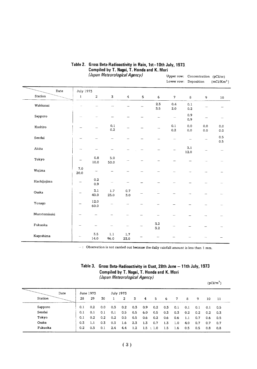|              |             |              |                    |                         |         |                | Lower row: Deposition    |                |                          | $(mCi/Km^2)$             |
|--------------|-------------|--------------|--------------------|-------------------------|---------|----------------|--------------------------|----------------|--------------------------|--------------------------|
| Date         | July 1973   |              |                    |                         |         |                |                          |                |                          |                          |
| Station      | $\bf{l}$    | $\,$         | ${\tt 3}$          | $\overline{\mathbf{4}}$ | $\sf S$ | 6              | $\overline{7}$           | 8              | 9                        | 10                       |
| Wakkanai     | i.          |              |                    |                         |         | 2.3<br>3.5     | 0.4<br>2.0               | $0.1\,$<br>0.2 |                          |                          |
| Sapporo      | --          |              |                    |                         |         |                | $\overline{\phantom{a}}$ | 0.9<br>0.9     | $\overline{\phantom{0}}$ | $\overline{\phantom{m}}$ |
| Kushiro      | -           |              | $0.1\,$<br>$0.2\,$ |                         |         |                | 0.1<br>0.2               | 0.0<br>0,0     | 0,0<br>0.0               | 0,0<br>0.0               |
| Sendai       |             |              |                    |                         |         |                |                          | $\overline{a}$ |                          | 0.5<br>0.5               |
| Akita        |             | ↔            |                    |                         |         |                |                          | 3.1<br>12.0    |                          | $\cdots$                 |
| Tokyo        |             | 0.8<br>10.0  | $5.0\,$<br>50.0    |                         |         |                |                          |                |                          | $\overline{\phantom{0}}$ |
| Wajima       | 7.0<br>20.0 | ÷            |                    |                         |         |                |                          |                |                          |                          |
| Hachijojima  | -           | 0.2<br>0.9   |                    |                         |         |                |                          |                | $\sim$                   |                          |
| Osaka        |             | 3.1<br>40.0  | 1.7<br>23.0        | 0.7<br>3,0              |         |                |                          |                |                          | ÷.                       |
| Yonago       |             | 12.0<br>60.0 |                    | $\frac{1}{2}$           |         |                |                          |                |                          | --                       |
| Murotomisaki |             |              |                    |                         |         |                |                          |                |                          | $\sim$                   |
| Fukuoka      |             |              |                    |                         |         | $3.2\,$<br>3.2 |                          |                |                          |                          |
| Kagoshima    |             | 3.5<br>14.0  | 1.1<br>96.0        | 1.7<br>23.0             |         | ÷              |                          |                |                          |                          |

#### Table 2. Gross Beta-Radioactivity in Rain, 1st-10th July, 1973. Compiled by T. Nagai, T. Honda and K. Mori (Japan Meteorological Agency) Upper row: Concentration (pCi/cc)

 $-$ : Observation is not carried out because the daily rainfall amount is less than 1 mm.

### Table 3. Gross Beta-Radioactivity in Dust, 28th June - 11th July, 1973 Compiled by T. Nagai, T. Honda and K. Mori

|  | (Japan Meteorological Agency) |  |  |
|--|-------------------------------|--|--|
|--|-------------------------------|--|--|

|         |     |           |     |     |           |     |     |           |     |     |     |     |     | $(pCi/m^3)$ |
|---------|-----|-----------|-----|-----|-----------|-----|-----|-----------|-----|-----|-----|-----|-----|-------------|
| Date    |     | June 1973 |     |     | July 1973 |     |     |           |     |     |     |     |     |             |
| Station | 28  | 29        | 30  |     | 2         | 3   | 4   | 5         | 6   | 7   | 8   | 9   | 10  | -11         |
| Sapporo | 0.1 | 0.2       | 0.0 | 0.3 | 0.2       | 0.3 | 0.9 | 0.2       | 0.3 | 0.1 | 0.1 | 0.1 | 0.1 | 0.5         |
| Sendai  | 0.1 | 0.1       | 0.1 | 0.1 | 0.5       | 0.5 | 6.0 | 0.5       | 0,3 | 0.3 | 0.2 | 0.2 | 0.2 | 0.3         |
| Tokyo   | 0.1 | 0.2       | 0.2 | 0.2 | 0.5       | 0.5 | 0.6 | 0.2       | 0.6 | 0.6 | 1.1 | 0.7 | 0.6 | 0.5         |
| Osaka   | 0.3 | 1.1       | 0.3 | 0.3 | 1.6       | 2.3 | 1.3 | 0,7       | 1.3 | 1.0 | 4.0 | 0.7 | 0.7 | 0.7         |
| Fukuoka | 0.2 | 0,3       | 0,1 | 2.4 | 4.4       | 1.2 |     | 1.5 : 1.0 | 1.5 | 1.6 | 0.5 | 0.5 | 0.8 | 0.8         |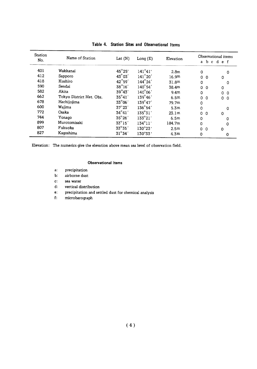| Station<br>No. | Name of Station          | Lat $(N)$       | Long $(E)$       | Elevation         |                          | Observational items     |  |
|----------------|--------------------------|-----------------|------------------|-------------------|--------------------------|-------------------------|--|
|                |                          |                 |                  |                   | b.<br>$\mathbf{a}$       | cdef                    |  |
| 401            | Wakkanai                 | $45^{\circ}25'$ | $141^{\circ}41'$ | 2.8 <sub>m</sub>  | 0                        | $\Omega$                |  |
| 412            | Sapporo                  | 43°03'          | $141^{\circ}20'$ | 16.9m             | 0<br>- 0                 | 0                       |  |
| 418            | Kushiro                  | 42°59'          | $144^{\circ}24'$ | 31.8m             | 0                        | 0                       |  |
| 590            | Sendai                   | 38°16'          | $140^{\circ}54'$ | 38.4m             | $\mathbf{0}$<br>$\Omega$ | $\mathbf 0$             |  |
| 582            | Akita                    | $39^\circ 43'$  | $140^{\circ}06'$ | 9.4 <sub>m</sub>  | $\mathbf 0$              | $\Omega$<br>$\mathbf 0$ |  |
| 662            | Tokyo District Met. Obs. | $35^{\circ}41'$ | $139^{\circ}46'$ | 6.5m              | 0<br>$\Omega$            | 0<br>$\Omega$           |  |
| 678            | Hachijojima              | 33°06'          | $139^{\circ}47'$ | 79.7m             | 0                        |                         |  |
| 600            | Wajima                   | $37^\circ 23'$  | 136°54'          | 5.3m              | 0                        | $\mathbf 0$             |  |
| 772            | Osaka                    | $34^{\circ}41'$ | $135^{\circ}31'$ | 23.1 <sub>m</sub> | 0 <sub>0</sub>           | $\circ$                 |  |
| 744            | Yonago                   | $35^{\circ}26'$ | $133^{\circ}21'$ | 6.5m              | $\circ$                  | 0                       |  |
| 899            | Murotomisaki             | $33^{\circ}15'$ | $134^{\circ}11'$ | 184.7m            | 0                        | 0                       |  |
| 807            | Fukuoka                  | 33°35'          | $130^{\circ}23'$ | 2.5 <sub>m</sub>  | $\Omega$<br>- 0          | 0                       |  |
| 827            | Kaqoshima                | $31^\circ 34'$  | $130^{\circ}33'$ | 4.3 <sub>m</sub>  | 0                        | 0                       |  |

Table 4. Station Sites and Observational Items

Elevation: The numerics give the elevation above mean sea level of observation field.

#### **Observational items**

- $a$ : precipitation
- airborne dust  $\mathbf{b}$ :
- $\mathbf{c}$ : sea water
- $d$ : vertical distribution
- precipitation and settled dust for chemical analysis  $e$ :
- ${\bf f}$  : microbarograph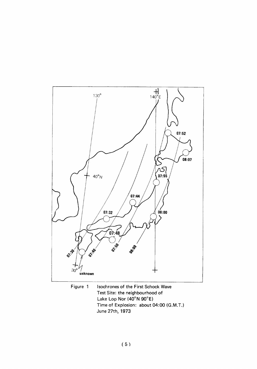

Figure 1 Isochrones of the First Schock Wave Test Site: the neighbourhood of Lake Lop Nor (40°N 90°E) Time of Explosion: about 04:00 (G.M.T.) June 27th, 1973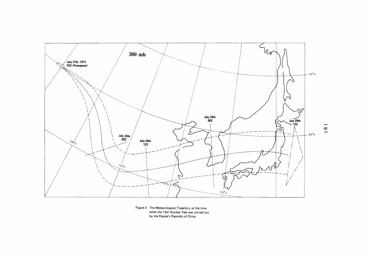

Figure 2 The Meteorological Trajectory at the time when the 15th Nuclear Test was carried out by the People's Republic of China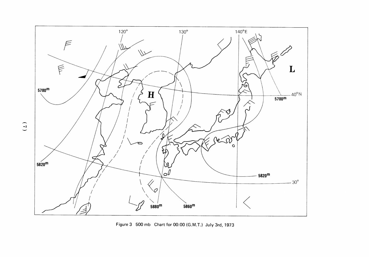

Figure 3 500 mb Chart for 00:00 (G.M.T.) July 3rd, 1973

 $(1)$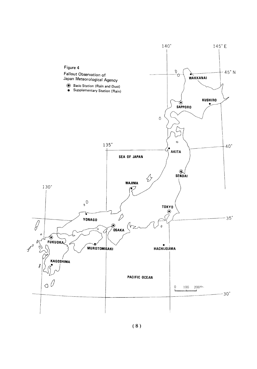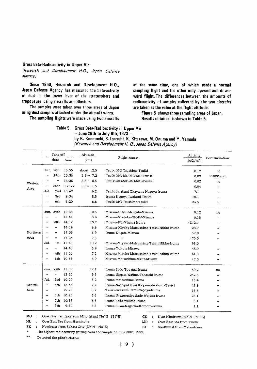#### Gross Beta-Radioactivity in Upper Air

(Research and Development H.Q., Japan Defence Agency)

Since 1960, Research and Development H.Q., Japan Defense Agency has measured the beta-activity of dust in the lower laver of the stratosphere and tropopause using aircrafts as collectors.

The samples were taken over three areas of Japan using dust samples attached under the aircraft wings.

The sampling flights were made using two aircrafts

at the same time, one of which made a normal sampling flight and the other only upward and downward flight. The differences between the amounts of radioactivity of samples collected by the two aircrafts are taken as the value at the flight altitude.

Figure 5 shows three sampling areas of Japan. Results obtained is shown in Table 5.

Table 5. Gross Beta-Radioactivity in Upper Air

 $-$  June 28th to July 9th, 1973  $-$ 

| by K. Kenmochi, S. Igarashi, K. Kitazawa, M. Onuma and Y. Yamada |
|------------------------------------------------------------------|
| (Research and Development H. Q., Japan Defense Agency)           |

|          |                      | Take-off     |                 | Altitude        |                                             | Activity    |                          |
|----------|----------------------|--------------|-----------------|-----------------|---------------------------------------------|-------------|--------------------------|
|          |                      | date         | time            | (km)            | Flight course                               | $(pCi/m^3)$ | Contamination            |
|          |                      |              | Jun. 28th 15:55 | about 12.5      | Tsuiki-MG-Tsushima-Tsuiki                   | 0.17        | no                       |
|          | $\mathbf{r}$         | 29th         | 10:30           | $6.9 \sim 7.2$  | Tsuiki-MG-MD-MG-MD-Tsuiki                   | 0.00        | **800 cpm                |
| Western  | $\bullet$            | $\cdot$      | 16:26           | $6.6 - 8.5$     | Tsuiki-MG-MD-MG-MD-Tsuiki                   | 0.02        | no                       |
| Area     | $\cdot$              | 30th         | 0.7:33          | $9.8 \sim 11.5$ | $\cdot$                                     | 0.04        | $\cdot$ .                |
|          | Jul.                 |              | 2nd 10:42       | 6.2             | Tsuiki-Iwakuni-Okayama-Naqoya-Iruma         | 7.1         | $\mathbf{r}$             |
|          |                      | 3rd          | 9:34            | 8.5             | Iruma-Naqoya-Iwakuni-Tsuiki                 | 10.1        | $\bullet$                |
|          | $\cdot$              | 6th          | 8:20            | 6.6             | Tsuiki-MG-Tsushima-Tsuiki                   | 23.5        | $\mathbf{r}$             |
|          | Jun.                 | 29th         | 10:38           | 10.5            | Misawa-GK-FK-Niigata-Misawa                 | 0.12        | no                       |
|          | $\cdot$              | $\bullet$    | 14:41           | 8.4             | Misawa-Morioka-GK-FJ-Misawa                 | 0.15        | $\cdot$                  |
|          | $\ddot{\phantom{0}}$ |              | 30th 14:12      | 10.2            | Misawa-HL-Misawa-Iruma                      | $*312.7$    | $\bullet$                |
|          | $\cdot$              | $\bar{r}$    | 14:19           | 6.6             | Misawa-Miyako-Matsushima-Taishi-Nikko-Iruma | 28.7        |                          |
| Northern | $\cdot$              | $\cdot$ .    | 17:09           | 6.9             | Iruma-Niigata-Misawa                        | 57.0        | $\bullet$                |
| Area     | $\bar{ }$            | $\mathbf{r}$ | 17:23           | 7.5             | $\cdot$                                     | 125.0       | ,,                       |
|          | Jul.                 | 1st          | 11:48           | 10.2            | Misawa-Miyako-Matsushima-Taishi-Nikko-Iruma | 95.0        |                          |
|          | $\bar{r}$            | $\cdot$      | 14:48           | 6.9             | Iruma-Yokote-Misawa                         | 43.9        |                          |
|          | $\cdot$              | 4th          | 11:08           | 7,2             | Misawa-Miyako-Matsushima-Taishi-Nikko-Iruma | 41.5        | $\mathbf{r}$             |
|          | $\pmb{\cdot}$        | 6th          | 10:36           | 6,9             | Misawa-Matsushima-Akita-Misawa              | 17.0        | $\bullet$                |
|          |                      |              | Jun. 30th 11:00 | 12.1            | Iruma-Sado-Toyama-Iruma                     | 69.7        | no                       |
|          | $\cdots$             | $\mathbf{r}$ | 12:20           | 9,8             | Iruma-Niigata-Wajima-Takasaki-Iruma         | 232.3       | $\cdot$                  |
|          | Jul.                 | 3rd          | 10:20           | 8.2             | Iruma-Matsushima-Iruma                      | 16.4        | $\mathbf{r}$             |
| Central  | $\pmb{\cdots}$       | 4th          | 12:35           | 7.2             | Iruma-Nagoya-Otsu-Okayama-Iwakuni-Tsuiki    | 41.9        | $\ddot{\phantom{a}}$     |
| Area     | $\pmb{\cdot}$        | $\mathbf{r}$ | 15:20           | 8.2             | Tsuiki-Iwakuni-Itami-Nagoya-Iruma           | 18.3        | $\bullet$                |
|          | ,,                   | 5th          | 10:20           | 6.6             | Iruma-Utsunomiya-Sado-Wajima-Iruma          | 24.1        | $\cdots$                 |
|          | $\cdots$             | 7th          | 10:35           | 6.6             | Iruma-Sado-Wajima-Iruma                     | 6.1         | $\cdots$                 |
|          | $\bullet$            | 9th          | 9:50            | 6.6             | Iruma-Suwa-Nagaoka-Komoro-Iruma             | 1.1         | $\overline{\phantom{a}}$ |
|          |                      |              |                 |                 |                                             |             |                          |

MG : Over Northern Sea from Mito Island  $(36°N 131°E)$ 

 ${\bf G}{\bf K}$  $\sim$ Near Hiraizumi (39° N 141°E) Over East Sea from Tsuiki

 $HL$ Over East Sea from Hachinohe  $\sim 10^{-1}$ **FK** Northeast from Sakata City (39°N 140°E)  $\sim 10^{-1}$ 

Southwest from Matsushima  $\mathcal{L}^{\pm}$ 

The highest radioactivity getting from the sample of June 30th, 1972.

 $\star\star$ Detected the pilot's clothes

 $(9)$ 

МD  $\rightarrow$ 

 ${\bf FJ}$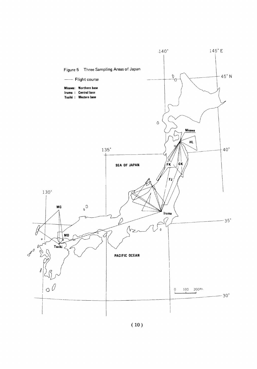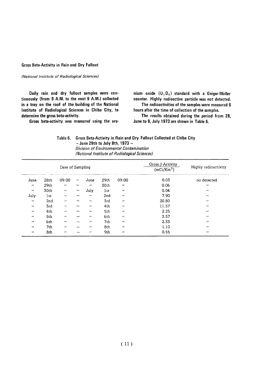#### **Gross Beta-Activity in Rain and Dry Fallout**

(National Institute of Radiological Sciences)

Daily rain and dry fallout samples were continuously (from 9 A.M. to the next 9 A.M.) collected in a tray on the roof of the building of the National Institute of Radiological Sciences in Chiba City, to determine the gross beta-activity.

Gross beta-activity was measured using the ura-

nium oxide  $(U_3O_8)$  standard with a Geiger-Müller counter. Highly radioactive particle was not detected.

The radioactivities of the samples were measured 6 hours after the time of collection of the samples.

The results obtained during the period from 28, June to 8, July 1973 are shown in Table 6.

#### Table 6. Gross Beta-Activity in Rain and Dry Fallout Collected at Chiba City  $-$  June 28th to July 8th, 1973  $-$

Division of Environmental Contamination (National Institute of Radiological Sciences)

|                   |                  | Date of Sampling  |                           |                   |                  |                   | Gross $\beta$ -Activity<br>(mCi/Km <sup>2</sup> ) | Highly radioactivity |
|-------------------|------------------|-------------------|---------------------------|-------------------|------------------|-------------------|---------------------------------------------------|----------------------|
| June              | 28 <sub>th</sub> | 09:00             | $\sim$                    | June              | 29 <sub>th</sub> | 09:00             | 0.03                                              | no detected          |
| $^{\prime\prime}$ | 29th             | $\cdots$          | $\sim$                    | $\pmb{\cdot}$     | 30th             | ,,                | 0.06                                              | $\cdots$             |
| $^{\prime}$       | 30th             | $\mathbf{r}$      | $\widetilde{\phantom{m}}$ | July              | <b>lst</b>       | $^{\prime\prime}$ | 0.04                                              | $\cdot$              |
| July              | lst              | $\cdots$          | $\tilde{\phantom{a}}$     | $\bullet$         | 2nd              | $\bullet$         | 7.90                                              | $\bullet$            |
| $^{\prime\prime}$ | 2nd              | $\mathbf{r}$      | $\widetilde{\phantom{m}}$ | $\bullet\bullet$  | 3rd              | $^{\prime\prime}$ | 20.80                                             | $\bullet$            |
| $\mathbf{r}$      | 3rd              | $^{\prime\prime}$ | $\widetilde{\phantom{m}}$ | $\cdots$          | 4 <sub>th</sub>  | $^{\prime}$       | 11.57                                             | $^{\prime\prime}$    |
| $\bullet$         | 4th              | $^{\prime}$       | $\tilde{\phantom{a}}$     | $\cdots$          | 5th              | $^{\prime\prime}$ | 2.25                                              | $^{\prime}$          |
| $^{\prime\prime}$ | 5th              | $^{\prime}$       | $\tilde{\phantom{a}}$     | $^{\prime\prime}$ | 6th              | $\cdot$           | 3.57                                              | $\cdot$              |
| $\mathbf{r}$      | 6th              | $^{\prime}$       | $\widetilde{\phantom{m}}$ | $^{\prime\prime}$ | 7th              | $^{\prime\prime}$ | 2.33                                              | $^{\prime\prime}$    |
| $^{\prime\prime}$ | 7th              | $^{\prime}$       | $\sim$                    | $\cdots$          | 8th              | $^{\prime\prime}$ | 1.10                                              | $^{\prime\prime}$    |
| $^{\prime\prime}$ | 8th              | $\bullet$         | $\sim$                    | $\cdots$          | 9th              | $\cdots$          | 0.55                                              | $\bullet$            |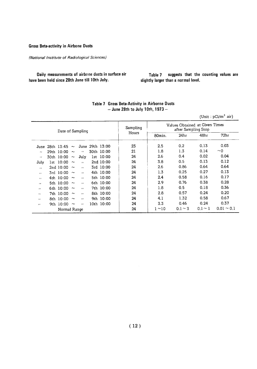**Gross Beta-activity in Airbone Dusts** 

(National Institute of Radiological Sciences)

Daily measurements of airbone dusts in surface air have been held since 28th June till 10th July.

Table 7 suggests that the counting values are slightly larger than a normal level.

|                |                  |                   |            |                    |  |                 |          |             |                                                       |              | Unit: pCl/m <sup>-</sup> air) |  |  |
|----------------|------------------|-------------------|------------|--------------------|--|-----------------|----------|-------------|-------------------------------------------------------|--------------|-------------------------------|--|--|
|                | Date of Sampling |                   |            |                    |  |                 | Sampling |             | Values Obtained at Given Times<br>after Sampling Stop |              |                               |  |  |
|                |                  |                   |            |                    |  |                 | Hours    | 80min.      | 24hr                                                  | 48hr         | 72 <sub>hr</sub>              |  |  |
| June           |                  | 28th 13:45 $\sim$ |            |                    |  | June 29th 13:00 | 23       | 2.5         | 0.2                                                   | 0.13         | 0.03                          |  |  |
| $\bullet$      |                  | 29th 10:00 $\sim$ |            | $\epsilon$         |  | 30th 10:00      | 21       | 1.8         | 1.3                                                   | 0.14         | $~\sim$ 0                     |  |  |
| $\epsilon$     |                  | 30th 10:00        | $\sim$     | July               |  | 1st 10:00       | 24       | 2.6         | 0.4                                                   | 0.02         | 0.04                          |  |  |
| July           |                  | 1st 10:00 $\sim$  |            | $\mathbf{r}$       |  | 2nd 10:00       | 24       | 3.8         | 0.5                                                   | 0.13         | 0.12                          |  |  |
| $\overline{1}$ |                  | 2nd 10:00         | $\sim$     | $\bullet$          |  | 3rd 10:00       | 24       | 2.6         | 0.86                                                  | 0.64         | 0.64                          |  |  |
| $\lambda$      |                  | 3rd 10:00         | $\sim$     | $\mathbf{r}$       |  | 4th 10:00       | 24       | 1.3         | 0.25                                                  | 0.27         | 0.13                          |  |  |
| $\lambda$      |                  | 4th 10:00 $\sim$  |            | $\boldsymbol{\mu}$ |  | 5th 10:00       | 24       | 2.4         | 0.58                                                  | 0.16         | 0.17                          |  |  |
| ,,             |                  | 5th 10:00 $\sim$  |            | $\mathbf{r}$       |  | 6th 10:00       | 24       | 2.9         | 0.76                                                  | 0.38         | 0.28                          |  |  |
| $^{\prime}$    |                  | 6th 10:00         | $\sim$     | $\lambda$          |  | 7th 10:00       | 24       | 1.8         | 0.5                                                   | 0.18         | 0.36                          |  |  |
| $\bullet$      |                  | 7th 10:00         | $\sim$     | $\lambda$          |  | 8th 10:00       | 24       | 2.8         | 0.57                                                  | 0.24         | 0.20                          |  |  |
| $\bullet$      |                  | 8th 10:00         | $\tilde{}$ | $\cdot$            |  | 9th 10:00       | 24       | 4.1         | 1.32                                                  | 0.58         | 0.67                          |  |  |
| $^{\prime}$    |                  | 9th 10:00         | $\sim$     | $\bullet$          |  | 10th 10:00      | 24       | 3.3         | 0.46                                                  | 0.24         | 0.37                          |  |  |
|                |                  | Normal Range      |            |                    |  |                 | 24       | $1 \sim 10$ | $0.1 - 3$                                             | $0.1 \sim 1$ | $0.01 \sim 0.1$               |  |  |

#### Table 7 Gross Beta-Activity in Airborne Dusts - June 28th to July 10th, 1973 -

 $(Hint : nC_1/m^3 \text{ air})$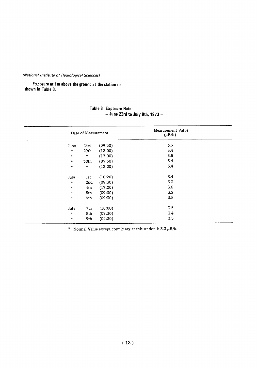#### (National Institute of Radiological Sciences)

Exposure at 1m above the ground at the station in shown in Table 8.

|                            | Date of Measurement   |         | Measurement Value<br>$(\mu R/h)$ |  |  |
|----------------------------|-----------------------|---------|----------------------------------|--|--|
| June                       | 23rd                  | (09:30) | 3.3                              |  |  |
| $\pmb{\cdot}$              | 29 <sub>th</sub>      | (12:00) | 3.4                              |  |  |
| $\pmb{\cdots}$             | $\boldsymbol{\alpha}$ | (17:00) | 3.5                              |  |  |
| $\pmb{\cdots}$             | 30th                  | (09:30) | 3.4                              |  |  |
| $\boldsymbol{\mathcal{H}}$ | $\pmb{\cdots}$        | (12:00) | 3.4                              |  |  |
| July                       | lst                   | (10:20) | 3.4                              |  |  |
| $\pmb{\cdot}$              | 2nd                   | (09:30) | 3.3                              |  |  |
| $\bullet$                  | 4th                   | (17:00) | 3.6                              |  |  |
| $\pmb{\cdot}$              | 5th                   | (09:30) | 3.2                              |  |  |
| $\pmb{\cdot}$              | 6th                   | (09:30) | 3.8                              |  |  |
| July                       | 7th                   | (10:00) | 3.5                              |  |  |
| $\pmb{\cdot}$              | 8th                   | (09:30) | 3.4                              |  |  |
| $\pmb{\cdots}$             | 9th                   | (09:30) | 3.5                              |  |  |

#### Table 8 Exposure Rate  $-$  June 23rd to July 9th, 1973  $-$

\* Normal Value except cosmic ray at this station is 3.3  $\mu$ R/h.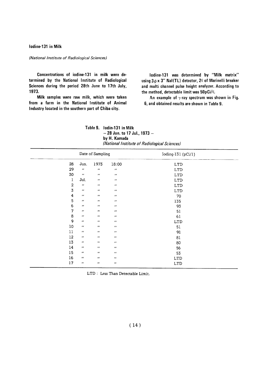Iodine-131 in Milk

#### (National Institute of Radiological Sciences)

Concentrations of iodine-131 in milk were determined by the National Institute of Radiological Sciences during the period 28th June to 17th July, 1973.

Milk samples were raw milk, which were taken from a farm in the National Institute of Animal Industry located in the southern part of Chiba city.

lodine-131 was determined by "Milk matrix" using  $3\phi \times 3''$  NaI(TL) detector, 2 $\ell$  of Marinelli breaker and multi channel pulse height analyzer. According to the method, detectable limit was 50pCi/2.

An example of  $\gamma$ -ray spectrum was shown in Fig. 6, and obtained results are shown in Table 9.

Table 9. lodin-131 in Milk  $-28$  Jun. to 17 Jul., 1973  $$ by H. Kamada (National Institute of Radiological Sciences)

|                | Date of Sampling      |                           |                             | Ioding-131 ( $pCi/1$ )      |
|----------------|-----------------------|---------------------------|-----------------------------|-----------------------------|
| 28             | Jun.                  | 1973                      | 18:00                       | <b>LTD</b>                  |
| 29             | $\pmb{\epsilon}$      | $\boldsymbol{r}$          | $\pmb{\cdot}$               | <b>LTD</b>                  |
| 30             | $\pmb{\cdot}$         | $\boldsymbol{\mu}$        | $\boldsymbol{\cdot}$        | $\ensuremath{\mathrm{LTD}}$ |
| 1              | Jul.                  | $\boldsymbol{r}$          | $\boldsymbol{\mu}$          | <b>LTD</b>                  |
| $\overline{2}$ | $\pmb{\cdot}$         | $\pmb{\cdots}$            | $\pmb{\cdot}$               | <b>LTD</b>                  |
| $\overline{3}$ | $\boldsymbol{\prime}$ | $\boldsymbol{H}$          | $\pmb{\cdots}$              | <b>LTD</b>                  |
| $\overline{4}$ | $\pmb{r}$             | $\pmb{\cdot}$             | $\mathcal{L}^{\mathcal{L}}$ | 70                          |
| 5              | $\pmb{\cdots}$        | $\boldsymbol{\mu}$        | $\pmb{\cdot}$               | 135                         |
| 6              | $\pmb{\cdots}$        | $\pmb{\cdot}$             | $\pmb{\cdot}$               | 93                          |
| 7              | $\pmb{\cdots}$        | $\pmb{\cdots}$            | $\pmb{\cdots}$              | 51                          |
| $\bf8$         | $\pmb{\cdots}$        | $\boldsymbol{\cdot}$      | $\pmb{H}$                   | 61                          |
| 9              | $\pmb{\cdots}$        | $\boldsymbol{\cdot}$      | $\boldsymbol{\mu}$          | <b>LTD</b>                  |
| 10             | $\pmb{\cdot}$         | $\boldsymbol{\cdot}$      | $\pmb{\cdot}$               | 51                          |
| 11             | $\pmb{\cdot}$         | $\mathcal{F} \mathcal{F}$ | $\pmb{\cdot}$               | 91                          |
| 12             | $\pmb{\cdot}$         | $\pmb{r}$                 | $\pmb{\cdot}$               | 81                          |
| 13             | $\pmb{\cdot}$         | $\pmb{r}$                 | $\pmb{r}$                   | 80                          |
| 14             | $\pmb{\cdot}$         | $\pmb{\cdot}$             | $\pmb{\cdot}$               | 56                          |
| 15             | $\pmb{\cdot}$         | $\pmb{\mu}$               | $\pmb{\cdot}$               | 53                          |
| 16             | $\pmb{\mu}$           | $\pmb{\cdots}$            | $\pmb{\cdots}$              | <b>LTD</b>                  |
| 17             | $\pmb{\cdot}$         | $\boldsymbol{\mu}$        | $\pmb{\cdots}$              | <b>LTD</b>                  |

LTD: Less Than Detectable Limit.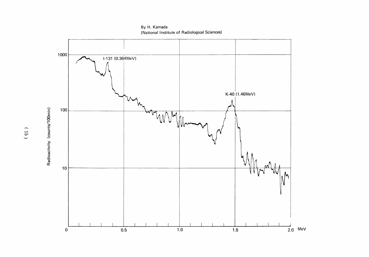

By H. Kamada (National Institute of Radiological Sciences)

Radioactivity (counts/100min)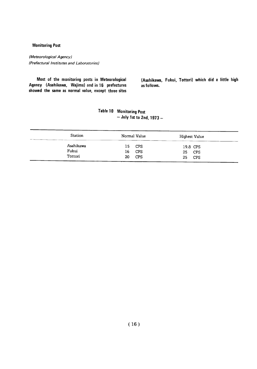#### **Monitoring Post**

(Meteorological Agency) (Prefectural Institutes and Laboratories)

Most of the monitoring posts in Meteorological Agency (Asahikawa, Wajima) and in 16 prefectures showed the same as normal value, except three sites (Asahikawa, Fukui, Tottori) which did a little high as follows.

#### **Table 10 Monitoring Post**  $-$  July 1st to 2nd, 1973  $-$

| Station                       | Normal Value                                | Highest Value                             |  |  |  |  |
|-------------------------------|---------------------------------------------|-------------------------------------------|--|--|--|--|
| Asahikawa<br>Fukui<br>Tottori | CPS<br>15.<br>CPS<br>16<br><b>CPS</b><br>20 | 19.8 CPS<br>25<br><b>CPS</b><br>CPS<br>25 |  |  |  |  |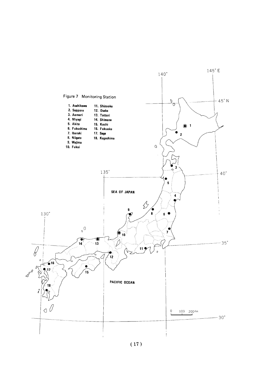

 $(17)$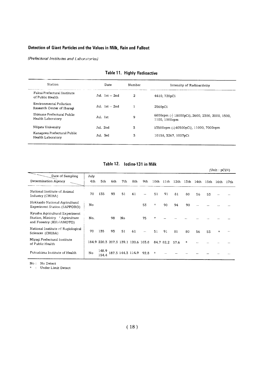#### Detection of Giant Particles and the Values in Milk, Rain and Fallout

(Prefectural Institutes and Laboratories)

| Station                                               | Date             | Number | Intensity of Radioactivity                                     |  |  |  |  |
|-------------------------------------------------------|------------------|--------|----------------------------------------------------------------|--|--|--|--|
| Fukui Prefectural Institute<br>of Public Health.      | Jul. $1st - 2nd$ | 2      | 4410, 720pCi                                                   |  |  |  |  |
| Environmental Pollution<br>Research Center of Ibaragi | Jul. $1st - 2nd$ |        | 2560pCi                                                        |  |  |  |  |
| Shimane Prefectural Public<br>Health Laboratory       | Jul. 1st         | 9      | 6800cpm (= 18000pCi), 2600, 2300, 2000, 1500,<br>1100, 1000cpm |  |  |  |  |
| Niigata University                                    | Jul. 2nd         | 3      | 13500cpm (≛40500pCi), 11000, 7000cpm                           |  |  |  |  |
| Kanagawa Prefectural Public<br>Health Laboratory      | Jul. 3rd         | 3      | 10158, 3267, 1007pCi                                           |  |  |  |  |

#### Table 11. Highly Radioactive

Table 12. lodine-131 in Milk

|                                                                                              |             |                |     |     |                                     |      |         |           |                  |        |      | $(Unit : pCi/\ell)$ |         |      |
|----------------------------------------------------------------------------------------------|-------------|----------------|-----|-----|-------------------------------------|------|---------|-----------|------------------|--------|------|---------------------|---------|------|
| Date of Sampling<br>Determination Agency                                                     | July<br>4th | 5th            | 6th | 7th | 8th                                 | 9th  | 10th    | 11th      | 12 <sub>th</sub> | 13th   | 14th | 15th                | 16th    | 17th |
| National Institute of Animal<br>Industry (CHIBA)                                             | 70          | 135            | 93  | 51  | 61                                  |      | 51      | 91        | 81               | 80     | 56   | 53                  |         |      |
| Hokkaido National Agricultural<br>Experiment Station (SAPPORO)                               | No          |                |     |     |                                     | 53   | $\star$ | 90        | 94               | 90     |      |                     |         |      |
| Kyushu Agricultural Experiment<br>Station, Ministry f Agriculture<br>and Forestry (KUMAMOTO) | No.         |                | 98  | No  |                                     | 75   | $\star$ |           |                  |        |      |                     |         |      |
| National Institute of Ragiological<br>Sciences (CHIBA)                                       | 70          | 135            | 93  | 51  | 61                                  |      | 51      | 91        | 81               | 80     | 56   | 53                  | $\star$ |      |
| Miyagi Prefectural Institute<br>of Public Health                                             |             |                |     |     | 184.9 220.3 207.3 139.1 120.6 103.8 |      |         | 84.7 82.2 | 57.6             | $\ast$ |      |                     |         |      |
| Fukushima Institute of Health                                                                | No          | 148.9<br>154.4 |     |     | 187.3 144.3 114.9                   | 92.8 | $\star$ |           |                  |        |      |                     |         |      |

No : No Detect<br>\* : Under Limit Detect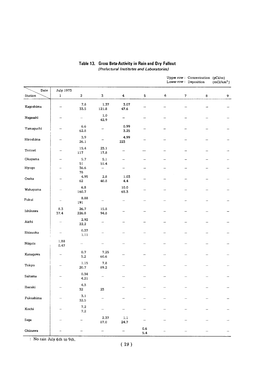|                                 |                                                                                                                                                                                                                                                                                                                                                                                                                                                                                    |                          |                                  |                         |                          |   | Upper row: Concentration (pCi/cc)<br>Lower row: Deposition |         | (mCi/km <sup>2</sup> ) |
|---------------------------------|------------------------------------------------------------------------------------------------------------------------------------------------------------------------------------------------------------------------------------------------------------------------------------------------------------------------------------------------------------------------------------------------------------------------------------------------------------------------------------|--------------------------|----------------------------------|-------------------------|--------------------------|---|------------------------------------------------------------|---------|------------------------|
| Date                            | July 1973                                                                                                                                                                                                                                                                                                                                                                                                                                                                          |                          |                                  |                         |                          |   |                                                            |         |                        |
| Station                         | $\mathbf{I}% _{t}\left  \mathbf{I}_{t}\right  ^{-1}\left  \mathbf{I}_{t}\right  ^{-1}\left  \mathbf{I}_{t}\right  ^{-1}\left  \mathbf{I}_{t}\right  ^{-1}\left  \mathbf{I}_{t}\right  ^{-1}\left  \mathbf{I}_{t}\right  ^{-1}\left  \mathbf{I}_{t}\right  ^{-1}\left  \mathbf{I}_{t}\right  ^{-1}\left  \mathbf{I}_{t}\right  ^{-1}\left  \mathbf{I}_{t}\right  ^{-1}\left  \mathbf{I}_{t}\right  ^{-1}\left  \mathbf{I}_{t}\right  ^{-1}\left  \mathbf{I}_{t}\right  ^{-1}\left $ | $\bf{2}$                 | 3                                | $\overline{\mathbf{4}}$ | $\overline{\mathbf{5}}$  | 6 | $\pmb{7}$                                                  | $\bf 8$ | 9                      |
| Kagoshima                       | $\qquad \qquad -$                                                                                                                                                                                                                                                                                                                                                                                                                                                                  | 7.8<br>33.5              | 1.37<br>121.8                    | 3.07<br>47.6            |                          |   |                                                            |         |                        |
| Nagasaki                        |                                                                                                                                                                                                                                                                                                                                                                                                                                                                                    | $\overline{\phantom{0}}$ | $1.0\,$<br>42.9                  |                         | —                        |   |                                                            |         |                        |
| Yamaguchi                       |                                                                                                                                                                                                                                                                                                                                                                                                                                                                                    | 6.6<br>62.8              | ÷                                | 0.99<br>3.25            |                          |   |                                                            |         |                        |
| Hiroshima                       |                                                                                                                                                                                                                                                                                                                                                                                                                                                                                    | 3.9<br>26.1              |                                  | 4.99<br>223             |                          |   |                                                            |         |                        |
| Tottori                         |                                                                                                                                                                                                                                                                                                                                                                                                                                                                                    | 15.4<br>$117\,$          | 23.1<br>17.8                     |                         |                          |   |                                                            |         |                        |
| $\mathop{\sf Okayama}\nolimits$ |                                                                                                                                                                                                                                                                                                                                                                                                                                                                                    | 5.7                      | 5.1                              | —                       | -                        |   |                                                            |         |                        |
| Hyogo                           | $\overline{\phantom{a}}$                                                                                                                                                                                                                                                                                                                                                                                                                                                           | 51<br>36.6<br>78         | 51.4<br>$\overline{\phantom{a}}$ | -                       | -                        |   |                                                            |         |                        |
| Osaka                           |                                                                                                                                                                                                                                                                                                                                                                                                                                                                                    | 4.95<br>62               | 2.8<br>40.8                      | 1.03<br>4,4             | $\overline{\phantom{0}}$ |   |                                                            |         |                        |
| Wakayama                        | $\overline{\phantom{a}}$                                                                                                                                                                                                                                                                                                                                                                                                                                                           | $6.8\,$<br>160.7         |                                  | 10.0<br>65.3            |                          |   |                                                            |         |                        |
| ${\hbox{Fuku}}$                 |                                                                                                                                                                                                                                                                                                                                                                                                                                                                                    | 8.88<br>191              |                                  | —                       |                          |   |                                                            |         |                        |
| Ishikawa                        | 8.3<br>37.4                                                                                                                                                                                                                                                                                                                                                                                                                                                                        | 26.7<br>226.8            | 15.8<br>94.8                     |                         |                          |   |                                                            |         |                        |
| Aichi                           | $\qquad \qquad \longrightarrow \qquad \qquad$                                                                                                                                                                                                                                                                                                                                                                                                                                      | 2.92<br>22,2             | -                                | -                       | -                        |   |                                                            |         |                        |
| Shizuoka                        | -                                                                                                                                                                                                                                                                                                                                                                                                                                                                                  | 0.37<br>$1.11$           |                                  |                         |                          |   |                                                            |         |                        |
| Niigata                         | 1,88<br>0,47                                                                                                                                                                                                                                                                                                                                                                                                                                                                       |                          |                                  |                         |                          |   |                                                            |         |                        |
| Kanagawa                        |                                                                                                                                                                                                                                                                                                                                                                                                                                                                                    | 0.7<br>5.2               | 7.25<br>60.6                     |                         |                          |   |                                                            |         |                        |
| Tokyo                           |                                                                                                                                                                                                                                                                                                                                                                                                                                                                                    | 1.15<br>20.7             | $\bf 7.8$<br>89.2                |                         |                          |   |                                                            |         |                        |
| $\text{Saitama}$                |                                                                                                                                                                                                                                                                                                                                                                                                                                                                                    | 0.34<br>4.21             |                                  |                         |                          |   |                                                            |         | -                      |
| Ibaraki                         |                                                                                                                                                                                                                                                                                                                                                                                                                                                                                    | 4.3<br>32                | ${\bf 23}$                       |                         | $\overline{\phantom{0}}$ |   |                                                            |         |                        |
| ${\hbox{Fukushima}}$            |                                                                                                                                                                                                                                                                                                                                                                                                                                                                                    | $3.1\,$<br>32.5          |                                  |                         | -                        |   |                                                            |         |                        |
| $\operatorname{Kochi}$          |                                                                                                                                                                                                                                                                                                                                                                                                                                                                                    | $\bf 7.2$<br>$\bf 7.2$   |                                  |                         | -                        |   |                                                            |         | —                      |
| Saga                            |                                                                                                                                                                                                                                                                                                                                                                                                                                                                                    | $\overline{\phantom{0}}$ | 2.37<br>87.0                     | $1.1\,$<br>24.7         | -                        |   |                                                            |         |                        |
| Okinawa                         |                                                                                                                                                                                                                                                                                                                                                                                                                                                                                    |                          | --                               | -                       | $0.6\,$<br>$\bf 5.4$     |   |                                                            |         |                        |

#### Table 13. Gross Beta-Activity in Rain and Dry Fallout (Prefectural Institutes and Laboratories)

: No rain July 6th to 9th.